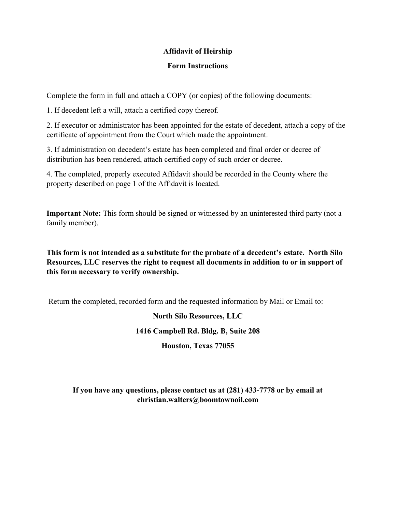#### Affidavit of Heirship

#### Form Instructions

Complete the form in full and attach a COPY (or copies) of the following documents:

1. If decedent left a will, attach a certified copy thereof.

2. If executor or administrator has been appointed for the estate of decedent, attach a copy of the certificate of appointment from the Court which made the appointment.

3. If administration on decedent's estate has been completed and final order or decree of distribution has been rendered, attach certified copy of such order or decree.

4. The completed, properly executed Affidavit should be recorded in the County where the property described on page 1 of the Affidavit is located.

Important Note: This form should be signed or witnessed by an uninterested third party (not a family member).

This form is not intended as a substitute for the probate of a decedent's estate. North Silo Resources, LLC reserves the right to request all documents in addition to or in support of this form necessary to verify ownership.

Return the completed, recorded form and the requested information by Mail or Email to:

## North Silo Resources, LLC

## 1416 Campbell Rd. Bldg. B, Suite 208

## Houston, Texas 77055

If you have any questions, please contact us at (281) 433-7778 or by email at christian.walters@boomtownoil.com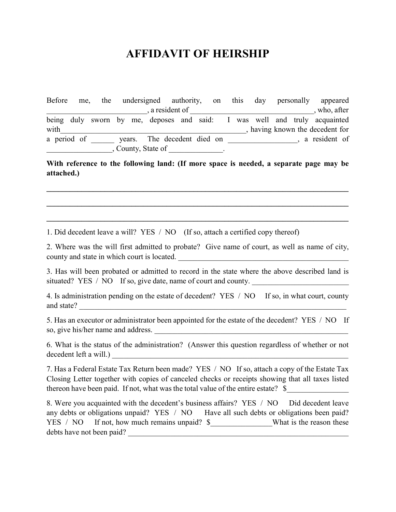# AFFIDAVIT OF HEIRSHIP

Before me, the undersigned authority, on this day personally appeared  $\frac{1}{2}$ , a resident of  $\frac{1}{2}$ being duly sworn by me, deposes and said: I was well and truly acquainted with with  $\ddot{\text{c}}$  with  $\ddot{\text{c}}$  with  $\ddot{\text{c}}$  with  $\ddot{\text{c}}$  and  $\ddot{\text{c}}$  and  $\ddot{\text{c}}$  and  $\ddot{\text{c}}$  and  $\ddot{\text{c}}$  and  $\ddot{\text{c}}$  and  $\ddot{\text{c}}$  and  $\ddot{\text{c}}$  and  $\ddot{\text{c}}$  and  $\ddot{\text{c}}$  and  $\ddot{\text{c}}$  and a period of years. The decedent died on , a resident of \_\_\_\_\_\_\_\_\_\_\_\_\_\_\_\_\_, County, State of \_\_\_\_\_\_\_\_\_\_\_\_\_\_.

With reference to the following land: (If more space is needed, a separate page may be attached.)

 $\mathcal{L}_\mathcal{L} = \mathcal{L}_\mathcal{L} = \mathcal{L}_\mathcal{L} = \mathcal{L}_\mathcal{L} = \mathcal{L}_\mathcal{L} = \mathcal{L}_\mathcal{L} = \mathcal{L}_\mathcal{L} = \mathcal{L}_\mathcal{L} = \mathcal{L}_\mathcal{L} = \mathcal{L}_\mathcal{L} = \mathcal{L}_\mathcal{L} = \mathcal{L}_\mathcal{L} = \mathcal{L}_\mathcal{L} = \mathcal{L}_\mathcal{L} = \mathcal{L}_\mathcal{L} = \mathcal{L}_\mathcal{L} = \mathcal{L}_\mathcal{L}$ 

 $\mathcal{L}_\mathcal{L} = \mathcal{L}_\mathcal{L} = \mathcal{L}_\mathcal{L} = \mathcal{L}_\mathcal{L} = \mathcal{L}_\mathcal{L} = \mathcal{L}_\mathcal{L} = \mathcal{L}_\mathcal{L} = \mathcal{L}_\mathcal{L} = \mathcal{L}_\mathcal{L} = \mathcal{L}_\mathcal{L} = \mathcal{L}_\mathcal{L} = \mathcal{L}_\mathcal{L} = \mathcal{L}_\mathcal{L} = \mathcal{L}_\mathcal{L} = \mathcal{L}_\mathcal{L} = \mathcal{L}_\mathcal{L} = \mathcal{L}_\mathcal{L}$ 

 $\_$ 

1. Did decedent leave a will? YES / NO (If so, attach a certified copy thereof)

2. Where was the will first admitted to probate? Give name of court, as well as name of city, county and state in which court is located.

3. Has will been probated or admitted to record in the state where the above described land is situated? YES / NO If so, give date, name of court and county.

4. Is administration pending on the estate of decedent? YES / NO If so, in what court, county and state? \_\_\_\_\_\_\_\_\_\_\_\_\_\_\_\_\_\_\_\_\_\_\_\_\_\_\_\_\_\_\_\_\_\_\_\_\_\_\_\_\_\_\_\_\_\_\_\_\_\_\_\_\_\_\_\_\_\_\_\_\_\_\_\_\_\_\_\_\_

5. Has an executor or administrator been appointed for the estate of the decedent? YES / NO If so, give his/her name and address. \_\_\_\_\_\_\_\_\_\_\_\_\_\_\_\_\_\_\_\_\_\_\_\_\_\_\_\_\_\_\_\_\_\_\_\_\_\_\_\_\_\_\_\_\_\_\_\_\_\_

6. What is the status of the administration? (Answer this question regardless of whether or not decedent left a will.)

7. Has a Federal Estate Tax Return been made? YES / NO If so, attach a copy of the Estate Tax Closing Letter together with copies of canceled checks or receipts showing that all taxes listed thereon have been paid. If not, what was the total value of the entire estate?  $\$ 

8. Were you acquainted with the decedent's business affairs? YES / NO Did decedent leave any debts or obligations unpaid? YES / NO Have all such debts or obligations been paid? YES / NO If not, how much remains unpaid? \$ What is the reason these debts have not been paid?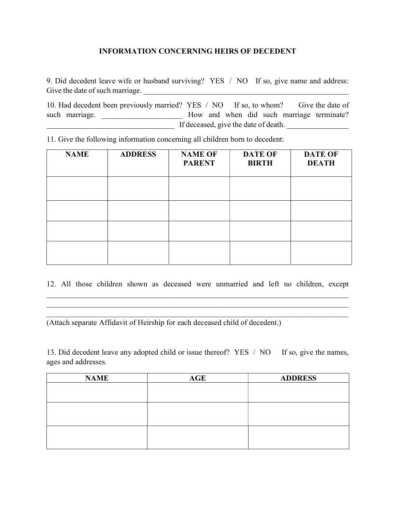## INFORMATION CONCERNING HEIRS OF DECEDENT

9. Did decedent leave wife or husband surviving? YES / NO If so, give name and address: Give the date of such marriage.

10. Had decedent been previously married? YES / NO If so, to whom? Give the date of such marriage. \_\_\_\_\_\_\_\_\_\_\_\_\_\_\_\_\_\_\_\_\_\_\_\_ How and when did such marriage terminate? \_\_\_\_\_\_\_\_\_\_\_\_\_\_\_\_\_\_\_\_\_\_\_\_\_\_\_\_\_\_\_\_\_ If deceased, give the date of death. \_\_\_\_\_\_\_\_\_\_\_\_\_\_\_\_

11. Give the following information concerning all children born to decedent:

| <b>NAME</b> | <b>ADDRESS</b> | <b>NAME OF</b><br><b>PARENT</b> | <b>DATE OF</b><br><b>BIRTH</b> | <b>DATE OF</b><br><b>DEATH</b> |
|-------------|----------------|---------------------------------|--------------------------------|--------------------------------|
|             |                |                                 |                                |                                |
|             |                |                                 |                                |                                |
|             |                |                                 |                                |                                |
|             |                |                                 |                                |                                |

12. All those children shown as deceased were unmarried and left no children, except

(Attach separate Affidavit of Heirship for each deceased child of decedent.)

13. Did decedent leave any adopted child or issue thereof? YES / NO If so, give the names, ages and addresses.

| <b>NAME</b> | <b>AGE</b> | <b>ADDRESS</b> |
|-------------|------------|----------------|
|             |            |                |
|             |            |                |
|             |            |                |
|             |            |                |
|             |            |                |
|             |            |                |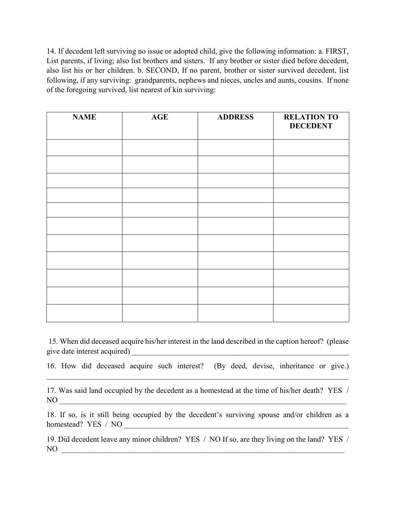14. If decedent left surviving no issue or adopted child, give the following information: a. FIRST, List parents, if living; also list brothers and sisters. If any brother or sister died before decedent, also list his or her children. b. SECOND, If no parent, brother or sister survived decedent, list following, if any surviving: grandparents, nephews and nieces, uncles and aunts, cousins. If none of the foregoing survived, list nearest of kin surviving:

| <b>NAME</b> | <b>AGE</b> | <b>ADDRESS</b> | <b>RELATION TO</b><br><b>DECEDENT</b> |
|-------------|------------|----------------|---------------------------------------|
|             |            |                |                                       |
|             |            |                |                                       |
|             |            |                |                                       |
|             |            |                |                                       |
|             |            |                |                                       |
|             |            |                |                                       |
|             |            |                |                                       |
|             |            |                |                                       |
|             |            |                |                                       |
|             |            |                |                                       |
|             |            |                |                                       |

 15. When did deceased acquire his/her interest in the land described in the caption hereof? (please give date interest acquired)

16. How did deceased acquire such interest? (By deed, devise, inheritance or give.)

17. Was said land occupied by the decedent as a homestead at the time of his/her death? YES / NO \_\_\_\_\_\_\_\_\_\_\_\_\_\_\_\_\_\_\_\_\_\_\_\_\_\_\_\_\_\_\_\_\_\_\_\_\_\_\_\_\_\_\_\_\_\_\_\_\_\_\_\_\_\_\_\_\_\_\_\_\_\_\_\_\_\_\_\_\_\_\_\_\_\_

18. If so, is it still being occupied by the decedent's surviving spouse and/or children as a homestead? YES / NO

19. Did decedent leave any minor children? YES / NO If so, are they living on the land? YES / NO